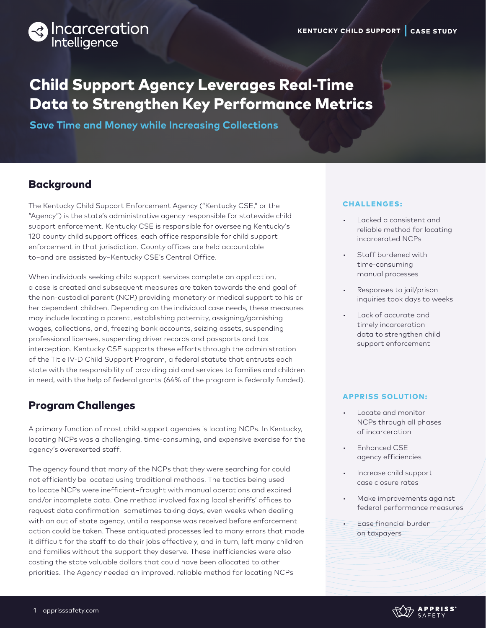

# Child Support Agency Leverages Real-Time Data to Strengthen Key Performance Metrics

**Save Time and Money while Increasing Collections** 

# **Background**

The Kentucky Child Support Enforcement Agency ("Kentucky CSE," or the "Agency") is the state's administrative agency responsible for statewide child support enforcement. Kentucky CSE is responsible for overseeing Kentucky's 120 county child support offices, each office responsible for child support enforcement in that jurisdiction. County offices are held accountable to−and are assisted by−Kentucky CSE's Central Office.

When individuals seeking child support services complete an application, a case is created and subsequent measures are taken towards the end goal of the non-custodial parent (NCP) providing monetary or medical support to his or her dependent children. Depending on the individual case needs, these measures may include locating a parent, establishing paternity, assigning/garnishing wages, collections, and, freezing bank accounts, seizing assets, suspending professional licenses, suspending driver records and passports and tax interception. Kentucky CSE supports these efforts through the administration of the Title IV-D Child Support Program, a federal statute that entrusts each state with the responsibility of providing aid and services to families and children in need, with the help of federal grants (64% of the program is federally funded).

### Program Challenges

A primary function of most child support agencies is locating NCPs. In Kentucky, locating NCPs was a challenging, time-consuming, and expensive exercise for the agency's overexerted staff.

The agency found that many of the NCPs that they were searching for could not efficiently be located using traditional methods. The tactics being used to locate NCPs were inefficient−fraught with manual operations and expired and/or incomplete data. One method involved faxing local sheriffs' offices to request data confirmation−sometimes taking days, even weeks when dealing with an out of state agency, until a response was received before enforcement action could be taken. These antiquated processes led to many errors that made it difficult for the staff to do their jobs effectively, and in turn, left many children and families without the support they deserve. These inefficiencies were also costing the state valuable dollars that could have been allocated to other priorities. The Agency needed an improved, reliable method for locating NCPs

#### CHALLENGES:

- Lacked a consistent and reliable method for locating incarcerated NCPs
- Staff burdened with time-consuming manual processes
- Responses to jail/prison inquiries took days to weeks
- Lack of accurate and timely incarceration data to strengthen child support enforcement

#### APPRISS SOLUTION:

- Locate and monitor NCPs through all phases of incarceration
- Enhanced CSE agency efficiencies
- Increase child support case closure rates
- Make improvements against federal performance measures
- Ease financial burden on taxpayers

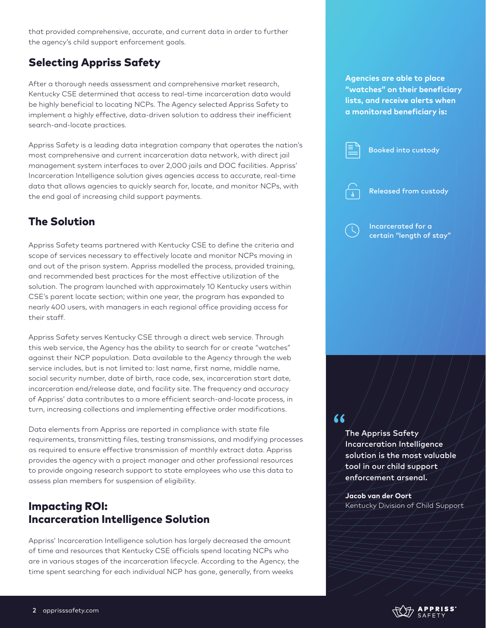that provided comprehensive, accurate, and current data in order to further the agency's child support enforcement goals.

# Selecting Appriss Safety

After a thorough needs assessment and comprehensive market research, Kentucky CSE determined that access to real-time incarceration data would be highly beneficial to locating NCPs. The Agency selected Appriss Safety to implement a highly effective, data-driven solution to address their inefficient search-and-locate practices.

Appriss Safety is a leading data integration company that operates the nation's most comprehensive and current incarceration data network, with direct jail management system interfaces to over 2,000 jails and DOC facilities. Appriss' Incarceration Intelligence solution gives agencies access to accurate, real-time data that allows agencies to quickly search for, locate, and monitor NCPs, with the end goal of increasing child support payments.

# The Solution

Appriss Safety teams partnered with Kentucky CSE to define the criteria and scope of services necessary to effectively locate and monitor NCPs moving in and out of the prison system. Appriss modelled the process, provided training, and recommended best practices for the most effective utilization of the solution. The program launched with approximately 10 Kentucky users within CSE's parent locate section; within one year, the program has expanded to nearly 400 users, with managers in each regional office providing access for their staff.

Appriss Safety serves Kentucky CSE through a direct web service. Through this web service, the Agency has the ability to search for or create "watches" against their NCP population. Data available to the Agency through the web service includes, but is not limited to: last name, first name, middle name, social security number, date of birth, race code, sex, incarceration start date, incarceration end/release date, and facility site. The frequency and accuracy of Appriss' data contributes to a more efficient search-and-locate process, in turn, increasing collections and implementing effective order modifications.

Data elements from Appriss are reported in compliance with state file requirements, transmitting files, testing transmissions, and modifying processes as required to ensure effective transmission of monthly extract data. Appriss provides the agency with a project manager and other professional resources to provide ongoing research support to state employees who use this data to assess plan members for suspension of eligibility.

# Impacting ROI: Incarceration Intelligence Solution

Appriss' Incarceration Intelligence solution has largely decreased the amount of time and resources that Kentucky CSE officials spend locating NCPs who are in various stages of the incarceration lifecycle. According to the Agency, the time spent searching for each individual NCP has gone, generally, from weeks

### **Agencies are able to place "watches" on their beneficiary lists, and receive alerts when a monitored beneficiary is:**



### $66$

The Appriss Safety Incarceration Intelligence solution is the most valuable tool in our child support enforcement arsenal.

**Jacob van der Oort** Kentucky Division of Child Support